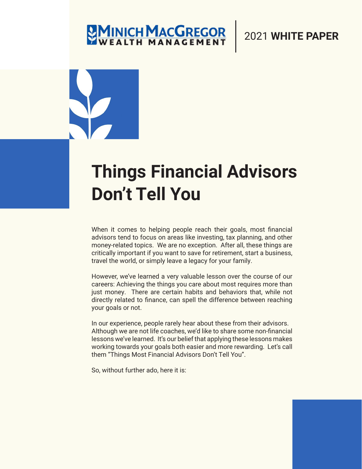## **MINICH MACGREGOR**

#### 2021 **WHITE PAPER**

## **Things Financial Advisors Don't Tell You**

When it comes to helping people reach their goals, most financial advisors tend to focus on areas like investing, tax planning, and other money-related topics. We are no exception. After all, these things are critically important if you want to save for retirement, start a business, travel the world, or simply leave a legacy for your family.

However, we've learned a very valuable lesson over the course of our careers: Achieving the things you care about most requires more than just money. There are certain habits and behaviors that, while not directly related to finance, can spell the difference between reaching your goals or not.

In our experience, people rarely hear about these from their advisors. Although we are not life coaches, we'd like to share some non-financial lessons we've learned. It's our belief that applying these lessons makes working towards your goals both easier and more rewarding. Let's call them "Things Most Financial Advisors Don't Tell You".

So, without further ado, here it is: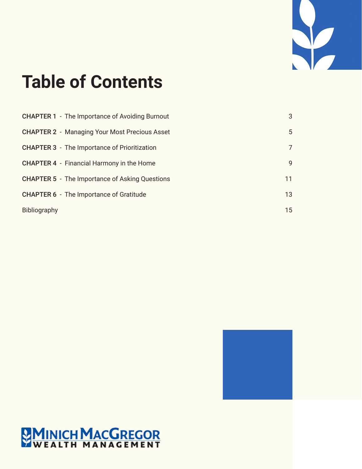

## **Table of Contents**

| <b>CHAPTER 1</b> - The Importance of Avoiding Burnout | 3  |
|-------------------------------------------------------|----|
| <b>CHAPTER 2 - Managing Your Most Precious Asset</b>  | 5  |
| <b>CHAPTER 3</b> - The Importance of Prioritization   | 7  |
| <b>CHAPTER 4</b> - Financial Harmony in the Home      | 9  |
| <b>CHAPTER 5</b> - The Importance of Asking Questions | 11 |
| <b>CHAPTER 6</b> - The Importance of Gratitude        | 13 |
| Bibliography                                          | 15 |



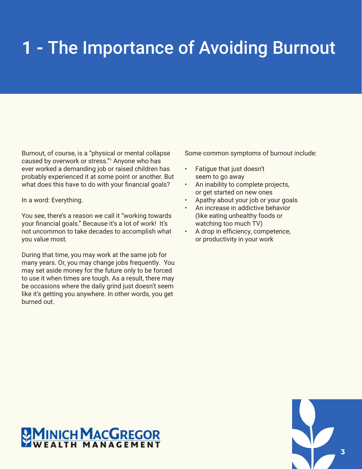## **1 -** The Importance of Avoiding Burnout

Burnout, of course, is a "physical or mental collapse caused by overwork or stress."1 Anyone who has ever worked a demanding job or raised children has probably experienced it at some point or another. But what does this have to do with your financial goals?

In a word: Everything.

You see, there's a reason we call it "working towards your financial goals." Because it's a lot of work! It's not uncommon to take decades to accomplish what you value most.

During that time, you may work at the same job for many years. Or, you may change jobs frequently. You may set aside money for the future only to be forced to use it when times are tough. As a result, there may be occasions where the daily grind just doesn't seem like it's getting you anywhere. In other words, you get burned out.

Some common symptoms of burnout include:

- Fatigue that just doesn't seem to go away
- An inability to complete projects, or get started on new ones
- Apathy about your job or your goals
- An increase in addictive behavior (like eating unhealthy foods or watching too much TV)
- A drop in efficiency, competence, or productivity in your work



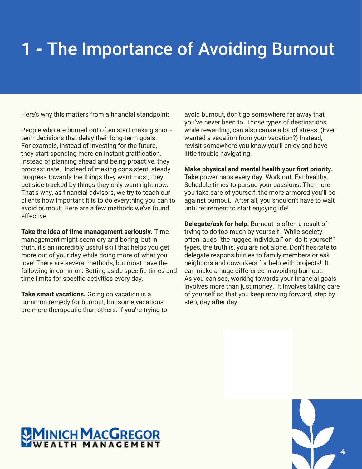## **1 -** The Importance of Avoiding Burnout

Here's why this matters from a financial standpoint:

People who are burned out often start making shortterm decisions that delay their long-term goals. For example, instead of investing for the future, they start spending more on instant gratification. Instead of planning ahead and being proactive, they procrastinate. Instead of making consistent, steady progress towards the things they want most, they get side-tracked by things they only want right now. That's why, as financial advisors, we try to teach our clients how important it is to do everything you can to avoid burnout. Here are a few methods we've found effective:

**Take the idea of time management seriously.** Time management might seem dry and boring, but in truth, it's an incredibly useful skill that helps you get more out of your day while doing more of what you love! There are several methods, but most have the following in common: Setting aside specific times and time limits for specific activities every day.

**Take smart vacations.** Going on vacation is a common remedy for burnout, but some vacations are more therapeutic than others. If you're trying to avoid burnout, don't go somewhere far away that you've never been to. Those types of destinations, while rewarding, can also cause a lot of stress. (Ever wanted a vacation from your vacation?) Instead, revisit somewhere you know you'll enjoy and have little trouble navigating.

#### **Make physical and mental health your first priority.**

Take power naps every day. Work out. Eat healthy. Schedule times to pursue your passions. The more you take care of yourself, the more armored you'll be against burnout. After all, you shouldn't have to wait until retirement to start enjoying life!

**Delegate/ask for help.** Burnout is often a result of trying to do too much by yourself. While society often lauds "the rugged individual" or "do-it-yourself" types, the truth is, you are not alone. Don't hesitate to delegate responsibilities to family members or ask neighbors and coworkers for help with projects! It can make a huge difference in avoiding burnout. As you can see, working towards your financial goals involves more than just money. It involves taking care of yourself so that you keep moving forward, step by step, day after day.



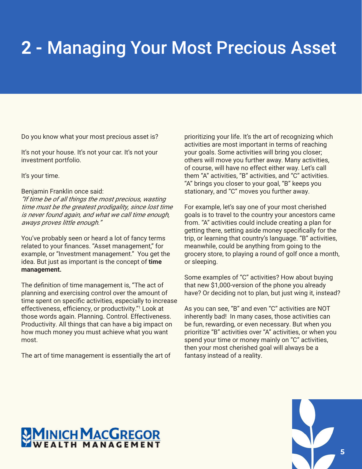### **2 -** Managing Your Most Precious Asset

Do you know what your most precious asset is?

It's not your house. It's not your car. It's not your investment portfolio.

It's your time.

#### Benjamin Franklin once said:

"If time be of all things the most precious, wasting time must be the greatest prodigality, since lost time is never found again, and what we call time enough, aways proves little enough."

You've probably seen or heard a lot of fancy terms related to your finances. "Asset management," for example, or "Investment management." You get the idea. But just as important is the concept of **time management.** 

The definition of time management is, "The act of planning and exercising control over the amount of time spent on specific activities, especially to increase effectiveness, efficiency, or productivity."<sup>1</sup> Look at those words again. Planning. Control. Effectiveness. Productivity. All things that can have a big impact on how much money you must achieve what you want most.

The art of time management is essentially the art of

prioritizing your life. It's the art of recognizing which activities are most important in terms of reaching your goals. Some activities will bring you closer; others will move you further away. Many activities, of course, will have no effect either way. Let's call them "A" activities, "B" activities, and "C" activities. "A" brings you closer to your goal, "B" keeps you stationary, and "C" moves you further away.

For example, let's say one of your most cherished goals is to travel to the country your ancestors came from. "A" activities could include creating a plan for getting there, setting aside money specifically for the trip, or learning that country's language. "B" activities, meanwhile, could be anything from going to the grocery store, to playing a round of golf once a month, or sleeping.

Some examples of "C" activities? How about buying that new \$1,000-version of the phone you already have? Or deciding not to plan, but just wing it, instead?

As you can see, "B" and even "C" activities are NOT inherently bad! In many cases, those activities can be fun, rewarding, or even necessary. But when you prioritize "B" activities over "A" activities, or when you spend your time or money mainly on "C" activities, then your most cherished goal will always be a fantasy instead of a reality.

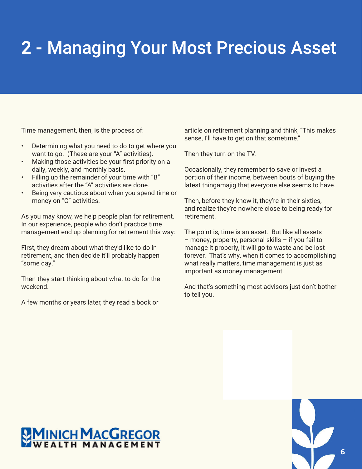### **2 -** Managing Your Most Precious Asset

Time management, then, is the process of:

- Determining what you need to do to get where you want to go. (These are your "A" activities).
- Making those activities be your first priority on a daily, weekly, and monthly basis.
- Filling up the remainder of your time with "B" activities after the "A" activities are done.
- Being very cautious about when you spend time or money on "C" activities.

As you may know, we help people plan for retirement. In our experience, people who don't practice time management end up planning for retirement this way:

First, they dream about what they'd like to do in retirement, and then decide it'll probably happen "some day."

Then they start thinking about what to do for the weekend.

A few months or years later, they read a book or

article on retirement planning and think, "This makes sense, I'll have to get on that sometime."

Then they turn on the TV.

Occasionally, they remember to save or invest a portion of their income, between bouts of buying the latest thingamajig that everyone else seems to have.

Then, before they know it, they're in their sixties, and realize they're nowhere close to being ready for retirement.

The point is, time is an asset. But like all assets – money, property, personal skills – if you fail to manage it properly, it will go to waste and be lost forever. That's why, when it comes to accomplishing what really matters, time management is just as important as money management.

And that's something most advisors just don't bother to tell you.

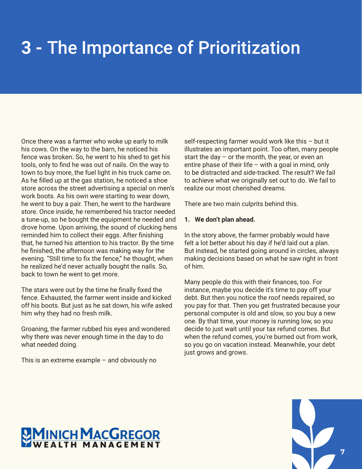## **3 -** The Importance of Prioritization

Once there was a farmer who woke up early to milk his cows. On the way to the barn, he noticed his fence was broken. So, he went to his shed to get his tools, only to find he was out of nails. On the way to town to buy more, the fuel light in his truck came on. As he filled up at the gas station, he noticed a shoe store across the street advertising a special on men's work boots. As his own were starting to wear down, he went to buy a pair. Then, he went to the hardware store. Once inside, he remembered his tractor needed a tune-up, so he bought the equipment he needed and drove home. Upon arriving, the sound of clucking hens reminded him to collect their eggs. After finishing that, he turned his attention to his tractor. By the time he finished, the afternoon was making way for the evening. "Still time to fix the fence," he thought, when he realized he'd never actually bought the nails. So, back to town he went to get more.

The stars were out by the time he finally fixed the fence. Exhausted, the farmer went inside and kicked off his boots. But just as he sat down, his wife asked him why they had no fresh milk.

Groaning, the farmer rubbed his eyes and wondered why there was never enough time in the day to do what needed doing.

This is an extreme example – and obviously no

self-respecting farmer would work like this – but it illustrates an important point. Too often, many people start the day  $-$  or the month, the year, or even an entire phase of their life – with a goal in mind, only to be distracted and side-tracked. The result? We fail to achieve what we originally set out to do. We fail to realize our most cherished dreams.

There are two main culprits behind this.

#### **1. We don't plan ahead.**

In the story above, the farmer probably would have felt a lot better about his day if he'd laid out a plan. But instead, he started going around in circles, always making decisions based on what he saw right in front of him.

Many people do this with their finances, too. For instance, maybe you decide it's time to pay off your debt. But then you notice the roof needs repaired, so you pay for that. Then you get frustrated because your personal computer is old and slow, so you buy a new one. By that time, your money is running low, so you decide to just wait until your tax refund comes. But when the refund comes, you're burned out from work, so you go on vacation instead. Meanwhile, your debt just grows and grows.

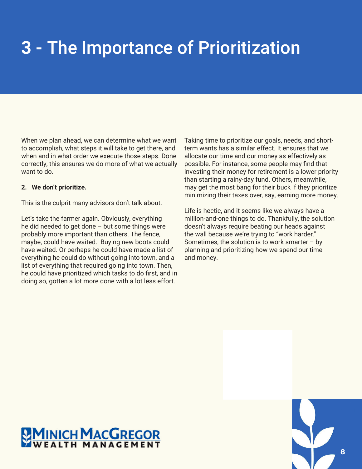### **3 -** The Importance of Prioritization

When we plan ahead, we can determine what we want to accomplish, what steps it will take to get there, and when and in what order we execute those steps. Done correctly, this ensures we do more of what we actually want to do.

#### **2. We don't prioritize.**

This is the culprit many advisors don't talk about.

Let's take the farmer again. Obviously, everything he did needed to get done  $-$  but some things were probably more important than others. The fence, maybe, could have waited. Buying new boots could have waited. Or perhaps he could have made a list of everything he could do without going into town, and a list of everything that required going into town. Then, he could have prioritized which tasks to do first, and in doing so, gotten a lot more done with a lot less effort.

Taking time to prioritize our goals, needs, and shortterm wants has a similar effect. It ensures that we allocate our time and our money as effectively as possible. For instance, some people may find that investing their money for retirement is a lower priority than starting a rainy-day fund. Others, meanwhile, may get the most bang for their buck if they prioritize minimizing their taxes over, say, earning more money.

Life is hectic, and it seems like we always have a million-and-one things to do. Thankfully, the solution doesn't always require beating our heads against the wall because we're trying to "work harder." Sometimes, the solution is to work smarter  $-$  by planning and prioritizing how we spend our time and money.

## **MINICH MACGREGOR**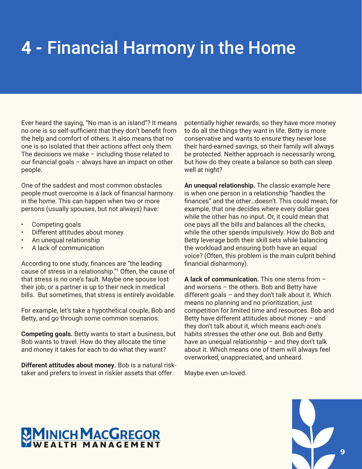## **4 -** Financial Harmony in the Home

Ever heard the saying, "No man is an island"? It means no one is so self-sufficient that they don't benefit from the help and comfort of others. It also means that no one is so isolated that their actions affect only them. The decisions we make – including those related to our financial goals – always have an impact on other people.

One of the saddest and most common obstacles people must overcome is a lack of financial harmony in the home. This can happen when two or more persons (usually spouses, but not always) have:

- Competing goals
- Different attitudes about money
- An unequal relationship
- A lack of communication

According to one study, finances are "the leading cause of stress in a relationship."1 Often, the cause of that stress is no one's fault. Maybe one spouse lost their job, or a partner is up to their neck in medical bills. But sometimes, that stress is entirely avoidable.

For example, let's take a hypothetical couple, Bob and Betty, and go through some common scenarios.

**Competing goals.** Betty wants to start a business, but Bob wants to travel. How do they allocate the time and money it takes for each to do what they want?

**Different attitudes about money.** Bob is a natural risktaker and prefers to invest in riskier assets that offer

potentially higher rewards, so they have more money to do all the things they want in life. Betty is more conservative and wants to ensure they never lose their hard-earned savings, so their family will always be protected. Neither approach is necessarily wrong, but how do they create a balance so both can sleep well at night?

**An unequal relationship.** The classic example here is when one person in a relationship "handles the finances'' and the other…doesn't. This could mean, for example, that one decides where every dollar goes while the other has no input. Or, it could mean that one pays all the bills and balances all the checks, while the other spends impulsively. How do Bob and Betty leverage both their skill sets while balancing the workload and ensuring both have an equal voice? (Often, this problem is the main culprit behind financial disharmony).

**A lack of communication.** This one stems from – and worsens – the others. Bob and Betty have different goals – and they don't talk about it. Which means no planning and no prioritization, just competition for limited time and resources. Bob and Betty have different attitudes about money  $-$  and they don't talk about it, which means each one's habits stresses the other one out. Bob and Betty have an unequal relationship – and they don't talk about it. Which means one of them will always feel overworked, unappreciated, and unheard.

Maybe even un-loved.

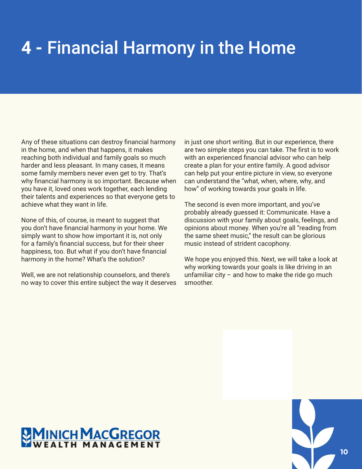### **4 -** Financial Harmony in the Home

Any of these situations can destroy financial harmony in the home, and when that happens, it makes reaching both individual and family goals so much harder and less pleasant. In many cases, it means some family members never even get to try. That's why financial harmony is so important. Because when you have it, loved ones work together, each lending their talents and experiences so that everyone gets to achieve what they want in life.

None of this, of course, is meant to suggest that you don't have financial harmony in your home. We simply want to show how important it is, not only for a family's financial success, but for their sheer happiness, too. But what if you don't have financial harmony in the home? What's the solution?

Well, we are not relationship counselors, and there's no way to cover this entire subject the way it deserves in just one short writing. But in our experience, there are two simple steps you can take. The first is to work with an experienced financial advisor who can help create a plan for your entire family. A good advisor can help put your entire picture in view, so everyone can understand the "what, when, where, why, and how" of working towards your goals in life.

The second is even more important, and you've probably already guessed it: Communicate. Have a discussion with your family about goals, feelings, and opinions about money. When you're all "reading from the same sheet music," the result can be glorious music instead of strident cacophony.

We hope you enjoyed this. Next, we will take a look at why working towards your goals is like driving in an unfamiliar city  $-$  and how to make the ride go much smoother.

## **MINICH MACGREGOR**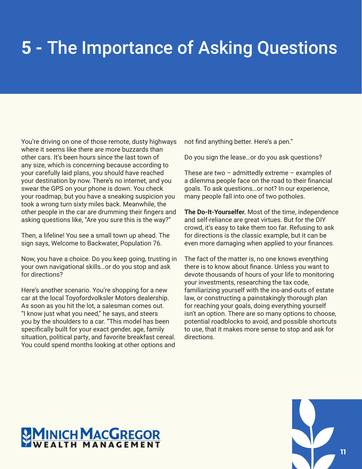## **5 -** The Importance of Asking Questions

You're driving on one of those remote, dusty highways where it seems like there are more buzzards than other cars. It's been hours since the last town of any size, which is concerning because according to your carefully laid plans, you should have reached your destination by now. There's no internet, and you swear the GPS on your phone is down. You check your roadmap, but you have a sneaking suspicion you took a wrong turn sixty miles back. Meanwhile, the other people in the car are drumming their fingers and asking questions like, "Are you sure this is the way?"

Then, a lifeline! You see a small town up ahead. The sign says, Welcome to Backwater, Population 76.

Now, you have a choice. Do you keep going, trusting in your own navigational skills…or do you stop and ask for directions?

Here's another scenario. You're shopping for a new car at the local Toyofordvolksler Motors dealership. As soon as you hit the lot, a salesman comes out. "I know just what you need," he says, and steers you by the shoulders to a car. "This model has been specifically built for your exact gender, age, family situation, political party, and favorite breakfast cereal. You could spend months looking at other options and

not find anything better. Here's a pen."

Do you sign the lease…or do you ask questions?

These are two  $-$  admittedly extreme  $-$  examples of a dilemma people face on the road to their financial goals. To ask questions…or not? In our experience, many people fall into one of two potholes.

**The Do-It-Yourselfer.** Most of the time, independence and self-reliance are great virtues. But for the DIY crowd, it's easy to take them too far. Refusing to ask for directions is the classic example, but it can be even more damaging when applied to your finances.

The fact of the matter is, no one knows everything there is to know about finance. Unless you want to devote thousands of hours of your life to monitoring your investments, researching the tax code, familiarizing yourself with the ins-and-outs of estate law, or constructing a painstakingly thorough plan for reaching your goals, doing everything yourself isn't an option. There are so many options to choose, potential roadblocks to avoid, and possible shortcuts to use, that it makes more sense to stop and ask for directions.

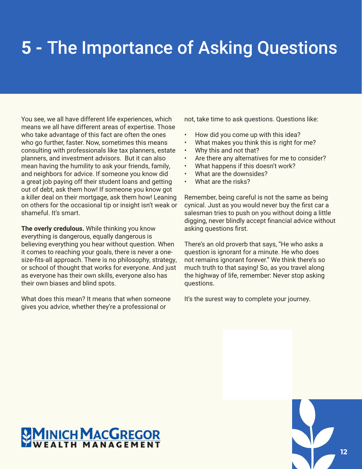## **5 -** The Importance of Asking Questions

You see, we all have different life experiences, which means we all have different areas of expertise. Those who take advantage of this fact are often the ones who go further, faster. Now, sometimes this means consulting with professionals like tax planners, estate planners, and investment advisors. But it can also mean having the humility to ask your friends, family, and neighbors for advice. If someone you know did a great job paying off their student loans and getting out of debt, ask them how! If someone you know got a killer deal on their mortgage, ask them how! Leaning on others for the occasional tip or insight isn't weak or shameful. It's smart.

**The overly credulous.** While thinking you know everything is dangerous, equally dangerous is believing everything you hear without question. When it comes to reaching your goals, there is never a onesize-fits-all approach. There is no philosophy, strategy, or school of thought that works for everyone. And just as everyone has their own skills, everyone also has their own biases and blind spots.

What does this mean? It means that when someone gives you advice, whether they're a professional or

not, take time to ask questions. Questions like:

- How did you come up with this idea?
- What makes you think this is right for me?
- Why this and not that?
- Are there any alternatives for me to consider?
- What happens if this doesn't work?
- What are the downsides?
- What are the risks?

Remember, being careful is not the same as being cynical. Just as you would never buy the first car a salesman tries to push on you without doing a little digging, never blindly accept financial advice without asking questions first.

There's an old proverb that says, "He who asks a question is ignorant for a minute. He who does not remains ignorant forever." We think there's so much truth to that saying! So, as you travel along the highway of life, remember: Never stop asking questions.

It's the surest way to complete your journey.

# **MINICH MACGREGOR**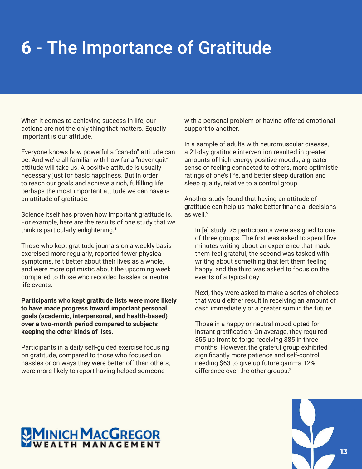### **6 -** The Importance of Gratitude

When it comes to achieving success in life, our actions are not the only thing that matters. Equally important is our attitude.

Everyone knows how powerful a "can-do" attitude can be. And we're all familiar with how far a "never quit" attitude will take us. A positive attitude is usually necessary just for basic happiness. But in order to reach our goals and achieve a rich, fulfilling life, perhaps the most important attitude we can have is an attitude of gratitude.

Science itself has proven how important gratitude is. For example, here are the results of one study that we think is particularly enlightening.<sup>1</sup>

Those who kept gratitude journals on a weekly basis exercised more regularly, reported fewer physical symptoms, felt better about their lives as a whole, and were more optimistic about the upcoming week compared to those who recorded hassles or neutral life events.

**Participants who kept gratitude lists were more likely to have made progress toward important personal goals (academic, interpersonal, and health-based) over a two-month period compared to subjects keeping the other kinds of lists.**

Participants in a daily self-guided exercise focusing on gratitude, compared to those who focused on hassles or on ways they were better off than others, were more likely to report having helped someone

with a personal problem or having offered emotional support to another.

In a sample of adults with neuromuscular disease, a 21-day gratitude intervention resulted in greater amounts of high-energy positive moods, a greater sense of feeling connected to others, more optimistic ratings of one's life, and better sleep duration and sleep quality, relative to a control group.

Another study found that having an attitude of gratitude can help us make better financial decisions as well.<sup>2</sup>

In [a] study, 75 participants were assigned to one of three groups: The first was asked to spend five minutes writing about an experience that made them feel grateful, the second was tasked with writing about something that left them feeling happy, and the third was asked to focus on the events of a typical day.

Next, they were asked to make a series of choices that would either result in receiving an amount of cash immediately or a greater sum in the future.

Those in a happy or neutral mood opted for instant gratification: On average, they required \$55 up front to forgo receiving \$85 in three months. However, the grateful group exhibited significantly more patience and self-control, needing \$63 to give up future gain—a 12% difference over the other groups.<sup>2</sup>

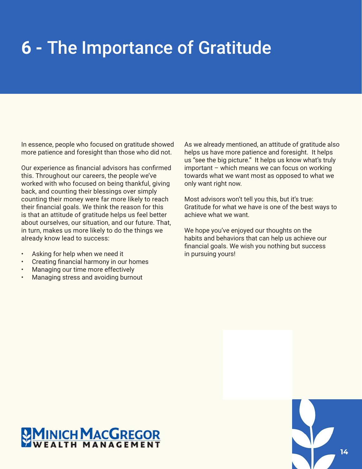### **6 -** The Importance of Gratitude

In essence, people who focused on gratitude showed more patience and foresight than those who did not.

Our experience as financial advisors has confirmed this. Throughout our careers, the people we've worked with who focused on being thankful, giving back, and counting their blessings over simply counting their money were far more likely to reach their financial goals. We think the reason for this is that an attitude of gratitude helps us feel better about ourselves, our situation, and our future. That, in turn, makes us more likely to do the things we already know lead to success:

- Asking for help when we need it
- Creating financial harmony in our homes
- Managing our time more effectively
- Managing stress and avoiding burnout

As we already mentioned, an attitude of gratitude also helps us have more patience and foresight. It helps us "see the big picture." It helps us know what's truly important – which means we can focus on working towards what we want most as opposed to what we only want right now.

Most advisors won't tell you this, but it's true: Gratitude for what we have is one of the best ways to achieve what we want.

We hope you've enjoyed our thoughts on the habits and behaviors that can help us achieve our financial goals. We wish you nothing but success in pursuing yours!